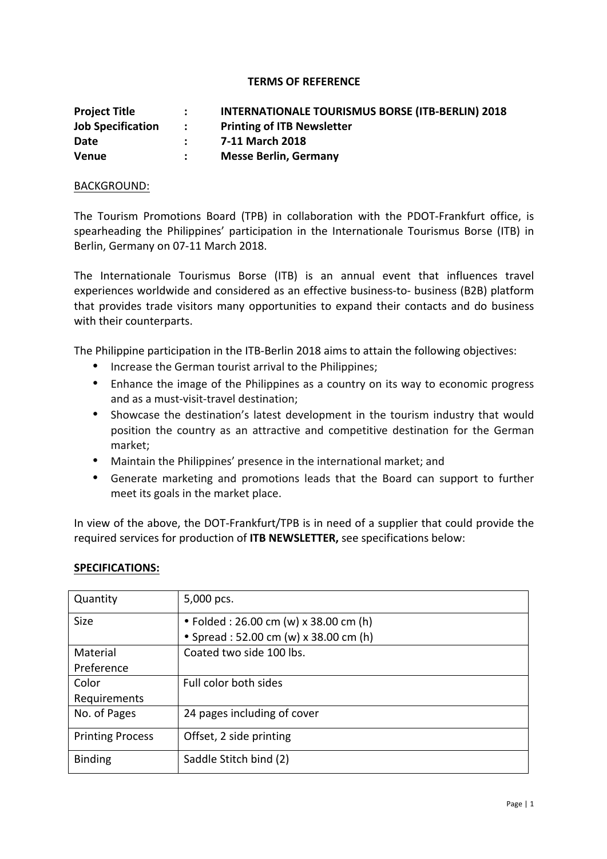## **TERMS OF REFERENCE**

| <b>Project Title</b>     | $\mathcal{L}$               | <b>INTERNATIONALE TOURISMUS BORSE (ITB-BERLIN) 2018</b> |
|--------------------------|-----------------------------|---------------------------------------------------------|
| <b>Job Specification</b> | $\sim$ $\sim$ $\sim$ $\sim$ | <b>Printing of ITB Newsletter</b>                       |
| Date                     |                             | 7-11 March 2018                                         |
| <b>Venue</b>             |                             | <b>Messe Berlin, Germany</b>                            |

## BACKGROUND:

The Tourism Promotions Board (TPB) in collaboration with the PDOT-Frankfurt office, is spearheading the Philippines' participation in the Internationale Tourismus Borse (ITB) in Berlin, Germany on 07-11 March 2018.

The Internationale Tourismus Borse (ITB) is an annual event that influences travel experiences worldwide and considered as an effective business-to- business (B2B) platform that provides trade visitors many opportunities to expand their contacts and do business with their counterparts.

The Philippine participation in the ITB-Berlin 2018 aims to attain the following objectives:

- Increase the German tourist arrival to the Philippines;
- Enhance the image of the Philippines as a country on its way to economic progress and as a must-visit-travel destination:
- Showcase the destination's latest development in the tourism industry that would position the country as an attractive and competitive destination for the German market;
- Maintain the Philippines' presence in the international market; and
- Generate marketing and promotions leads that the Board can support to further meet its goals in the market place.

In view of the above, the DOT-Frankfurt/TPB is in need of a supplier that could provide the required services for production of **ITB NEWSLETTER**, see specifications below:

## **SPECIFICATIONS:**

| Quantity                | 5,000 pcs.                             |
|-------------------------|----------------------------------------|
| <b>Size</b>             | • Folded : 26.00 cm (w) x 38.00 cm (h) |
|                         | • Spread: 52.00 cm (w) x 38.00 cm (h)  |
| Material                | Coated two side 100 lbs.               |
| Preference              |                                        |
| Color                   | Full color both sides                  |
| Requirements            |                                        |
| No. of Pages            | 24 pages including of cover            |
| <b>Printing Process</b> | Offset, 2 side printing                |
| <b>Binding</b>          | Saddle Stitch bind (2)                 |